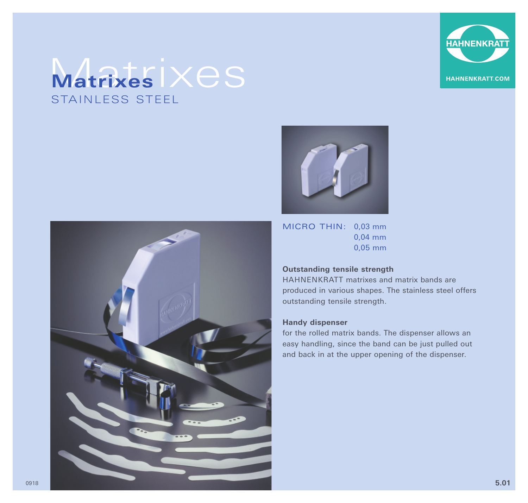

## Matrixes  $\times$ es STAINLESS STEEL





MICRO THIN: 0,03 mm 0,04 mm 0,05 mm

### **Outstanding tensile strength**

HAHNENKRATT matrixes and matrix bands are produced in various shapes. The stainless steel offers outstanding tensile strength.

#### **Handy dispenser**

for the rolled matrix bands. The dispenser allows an easy handling, since the band can be just pulled out and back in at the upper opening of the dispenser.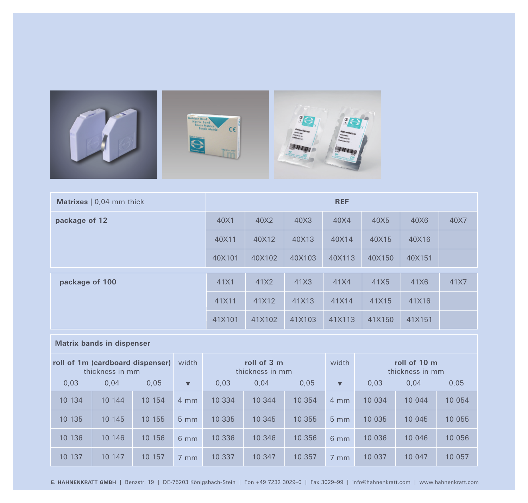

| <b>Matrixes</b> $\vert 0.04$ mm thick | <b>REF</b> |        |        |        |        |        |      |
|---------------------------------------|------------|--------|--------|--------|--------|--------|------|
| package of 12                         | 40X1       | 40X2   | 40X3   | 40X4   | 40X5   | 40X6   | 40X7 |
|                                       | 40X11      | 40X12  | 40X13  | 40X14  | 40X15  | 40X16  |      |
|                                       | 40X101     | 40X102 | 40X103 | 40X113 | 40X150 | 40X151 |      |
| package of 100                        | 41X1       | 41X2   | 41X3   | 41X4   | 41X5   | 41X6   | 41X7 |
|                                       | 41X11      | 41X12  | 41X13  | 41X14  | 41X15  | 41X16  |      |
|                                       | 41X101     | 41X102 | 41X103 | 41X113 | 41X150 | 41X151 |      |

#### **Matrix bands in dispenser**

| roll of 1m (cardboard dispenser)<br>thickness in mm |        | width  | roll of 3 m<br>thickness in mm |        |        | width  | roll of 10 m<br>thickness in mm |         |        |         |
|-----------------------------------------------------|--------|--------|--------------------------------|--------|--------|--------|---------------------------------|---------|--------|---------|
| 0.03                                                | 0.04   | 0.05   | $\blacktriangledown$           | 0.03   | 0.04   | 0.05   | $\blacktriangledown$            | 0.03    | 0.04   | 0,05    |
| 10 134                                              | 10 144 | 10 154 | $4 \text{ mm}$                 | 10 334 | 10 344 | 10 354 | $4 \text{ mm}$                  | 10 0 34 | 10 044 | 10 0 54 |
| 10 135                                              | 10 145 | 10 155 | $5 \text{ mm}$                 | 10 335 | 10 345 | 10 355 | $5 \, \text{mm}$                | 10 035  | 10 045 | 10 055  |
| 10 136                                              | 10 146 | 10 156 | $6 \, \text{mm}$               | 10 336 | 10 346 | 10 356 | $6 \, \text{mm}$                | 10 036  | 10 046 | 10 056  |
| 10 137                                              | 10 147 | 10 157 | $7 \text{ mm}$                 | 10 337 | 10 347 | 10 357 | $7 \text{ mm}$                  | 10 037  | 10 047 | 10 057  |

**E. HAHNENKRATT GMBH** | Benzstr. 19 | DE-75203 Königsbach-Stein | Fon +49 7232 3029–0 | Fax 3029–99 | info@hahnenkratt.com | www.hahnenkratt.com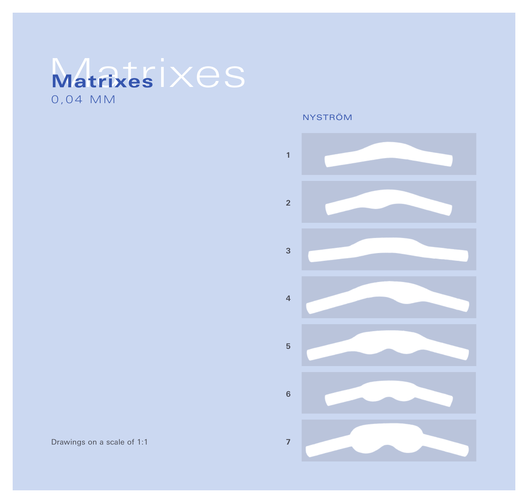# Matrixes **Matrixes**  0 , 0 4 MM

NYSTRÖM



Drawings on a scale of 1:1